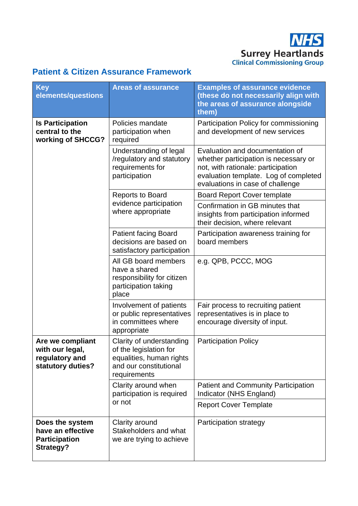**NHS Surrey Heartlands**<br>Clinical Commissioning Group

## **Patient & Citizen Assurance Framework**

| <b>Key</b><br>elements/questions                                                 | <b>Areas of assurance</b>                                                                                                | <b>Examples of assurance evidence</b><br>(these do not necessarily align with<br>the areas of assurance alongside<br>them)                                                                  |
|----------------------------------------------------------------------------------|--------------------------------------------------------------------------------------------------------------------------|---------------------------------------------------------------------------------------------------------------------------------------------------------------------------------------------|
| <b>Is Participation</b><br>central to the<br>working of SHCCG?                   | Policies mandate<br>participation when<br>required                                                                       | Participation Policy for commissioning<br>and development of new services                                                                                                                   |
|                                                                                  | Understanding of legal<br>/regulatory and statutory<br>requirements for<br>participation                                 | Evaluation and documentation of<br>whether participation is necessary or<br>not, with rationale: participation<br>evaluation template. Log of completed<br>evaluations in case of challenge |
|                                                                                  | <b>Reports to Board</b><br>evidence participation<br>where appropriate                                                   | <b>Board Report Cover template</b>                                                                                                                                                          |
|                                                                                  |                                                                                                                          | Confirmation in GB minutes that<br>insights from participation informed<br>their decision, where relevant                                                                                   |
|                                                                                  | <b>Patient facing Board</b><br>decisions are based on<br>satisfactory participation                                      | Participation awareness training for<br>board members                                                                                                                                       |
|                                                                                  | All GB board members<br>have a shared<br>responsibility for citizen<br>participation taking<br>place                     | e.g. QPB, PCCC, MOG                                                                                                                                                                         |
|                                                                                  | Involvement of patients<br>or public representatives<br>in committees where<br>appropriate                               | Fair process to recruiting patient<br>representatives is in place to<br>encourage diversity of input.                                                                                       |
| Are we compliant<br>with our legal,<br>regulatory and<br>statutory duties?       | Clarity of understanding<br>of the legislation for<br>equalities, human rights<br>and our constitutional<br>requirements | <b>Participation Policy</b>                                                                                                                                                                 |
|                                                                                  | Clarity around when<br>participation is required<br>or not                                                               | <b>Patient and Community Participation</b><br>Indicator (NHS England)                                                                                                                       |
|                                                                                  |                                                                                                                          | <b>Report Cover Template</b>                                                                                                                                                                |
| Does the system<br>have an effective<br><b>Participation</b><br><b>Strategy?</b> | Clarity around<br>Stakeholders and what<br>we are trying to achieve                                                      | Participation strategy                                                                                                                                                                      |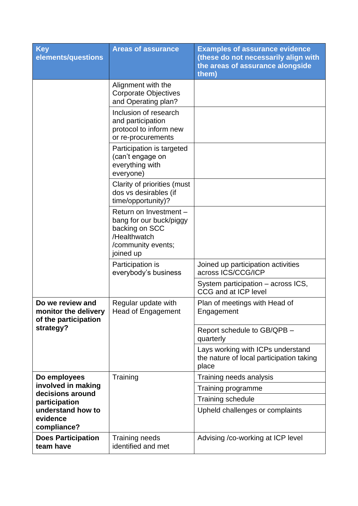| <b>Key</b><br>elements/questions                                                                        | <b>Areas of assurance</b>                                                                                              | <b>Examples of assurance evidence</b><br>(these do not necessarily align with<br>the areas of assurance alongside<br>them) |
|---------------------------------------------------------------------------------------------------------|------------------------------------------------------------------------------------------------------------------------|----------------------------------------------------------------------------------------------------------------------------|
|                                                                                                         | Alignment with the<br><b>Corporate Objectives</b><br>and Operating plan?                                               |                                                                                                                            |
|                                                                                                         | Inclusion of research<br>and participation<br>protocol to inform new<br>or re-procurements                             |                                                                                                                            |
|                                                                                                         | Participation is targeted<br>(can't engage on<br>everything with<br>everyone)                                          |                                                                                                                            |
|                                                                                                         | Clarity of priorities (must<br>dos vs desirables (if<br>time/opportunity)?                                             |                                                                                                                            |
|                                                                                                         | Return on Investment -<br>bang for our buck/piggy<br>backing on SCC<br>/Healthwatch<br>/community events;<br>joined up |                                                                                                                            |
|                                                                                                         | Participation is<br>everybody's business                                                                               | Joined up participation activities<br>across ICS/CCG/ICP                                                                   |
|                                                                                                         |                                                                                                                        | System participation – across ICS,<br><b>CCG and at ICP level</b>                                                          |
| Do we review and<br>monitor the delivery<br>of the participation<br>strategy?                           | Regular update with<br><b>Head of Engagement</b>                                                                       | Plan of meetings with Head of<br>Engagement                                                                                |
|                                                                                                         |                                                                                                                        | Report schedule to GB/QPB -<br>quarterly                                                                                   |
|                                                                                                         |                                                                                                                        | Lays working with ICPs understand<br>the nature of local participation taking<br>place                                     |
| Do employees                                                                                            | Training                                                                                                               | Training needs analysis                                                                                                    |
| involved in making<br>decisions around<br>participation<br>understand how to<br>evidence<br>compliance? |                                                                                                                        | Training programme                                                                                                         |
|                                                                                                         |                                                                                                                        | Training schedule                                                                                                          |
|                                                                                                         |                                                                                                                        | Upheld challenges or complaints                                                                                            |
| <b>Does Participation</b><br>team have                                                                  | Training needs<br>identified and met                                                                                   | Advising /co-working at ICP level                                                                                          |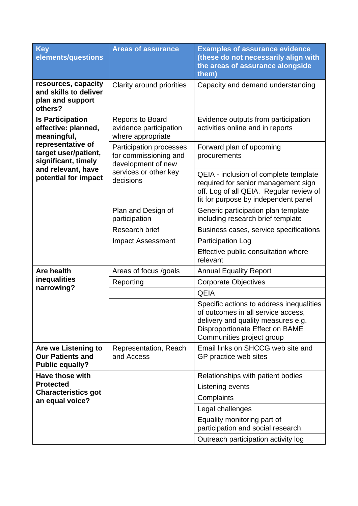| <b>Key</b><br>elements/questions                                                                                                                                                | <b>Areas of assurance</b>                                                                                           | <b>Examples of assurance evidence</b><br>(these do not necessarily align with<br>the areas of assurance alongside<br>them)                                                           |
|---------------------------------------------------------------------------------------------------------------------------------------------------------------------------------|---------------------------------------------------------------------------------------------------------------------|--------------------------------------------------------------------------------------------------------------------------------------------------------------------------------------|
| resources, capacity<br>and skills to deliver<br>plan and support<br>others?                                                                                                     | Clarity around priorities                                                                                           | Capacity and demand understanding                                                                                                                                                    |
| <b>Is Participation</b><br>effective: planned,<br>meaningful,<br>representative of<br>target user/patient,<br>significant, timely<br>and relevant, have<br>potential for impact | <b>Reports to Board</b><br>evidence participation<br>where appropriate                                              | Evidence outputs from participation<br>activities online and in reports                                                                                                              |
|                                                                                                                                                                                 | <b>Participation processes</b><br>for commissioning and<br>development of new<br>services or other key<br>decisions | Forward plan of upcoming<br>procurements                                                                                                                                             |
|                                                                                                                                                                                 |                                                                                                                     | QEIA - inclusion of complete template<br>required for senior management sign<br>off. Log of all QEIA. Regular review of<br>fit for purpose by independent panel                      |
|                                                                                                                                                                                 | Plan and Design of<br>participation                                                                                 | Generic participation plan template<br>including research brief template                                                                                                             |
|                                                                                                                                                                                 | Research brief                                                                                                      | Business cases, service specifications                                                                                                                                               |
|                                                                                                                                                                                 | <b>Impact Assessment</b>                                                                                            | <b>Participation Log</b>                                                                                                                                                             |
|                                                                                                                                                                                 |                                                                                                                     | Effective public consultation where<br>relevant                                                                                                                                      |
| <b>Are health</b>                                                                                                                                                               | Areas of focus /goals                                                                                               | <b>Annual Equality Report</b>                                                                                                                                                        |
| inequalities                                                                                                                                                                    | Reporting                                                                                                           | <b>Corporate Objectives</b>                                                                                                                                                          |
| narrowing?                                                                                                                                                                      |                                                                                                                     | <b>QEIA</b>                                                                                                                                                                          |
|                                                                                                                                                                                 |                                                                                                                     | Specific actions to address inequalities<br>of outcomes in all service access,<br>delivery and quality measures e.g.<br>Disproportionate Effect on BAME<br>Communities project group |
| Are we Listening to<br><b>Our Patients and</b><br><b>Public equally?</b>                                                                                                        | Representation, Reach<br>and Access                                                                                 | Email links on SHCCG web site and<br>GP practice web sites                                                                                                                           |
| Have those with                                                                                                                                                                 |                                                                                                                     | Relationships with patient bodies                                                                                                                                                    |
| <b>Protected</b>                                                                                                                                                                |                                                                                                                     | Listening events                                                                                                                                                                     |
| <b>Characteristics got</b><br>an equal voice?                                                                                                                                   |                                                                                                                     | Complaints                                                                                                                                                                           |
|                                                                                                                                                                                 |                                                                                                                     | Legal challenges                                                                                                                                                                     |
|                                                                                                                                                                                 |                                                                                                                     | Equality monitoring part of<br>participation and social research.                                                                                                                    |
|                                                                                                                                                                                 |                                                                                                                     | Outreach participation activity log                                                                                                                                                  |